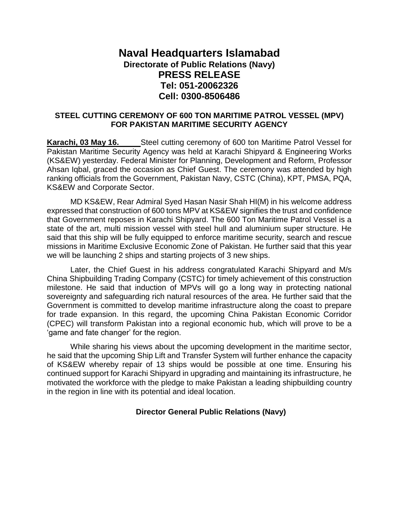## **Naval Headquarters Islamabad Directorate of Public Relations (Navy) PRESS RELEASE Tel: 051-20062326 Cell: 0300-8506486**

## **STEEL CUTTING CEREMONY OF 600 TON MARITIME PATROL VESSEL (MPV) FOR PAKISTAN MARITIME SECURITY AGENCY**

**Karachi, 03 May 16.** Steel cutting ceremony of 600 ton Maritime Patrol Vessel for Pakistan Maritime Security Agency was held at Karachi Shipyard & Engineering Works (KS&EW) yesterday. Federal Minister for Planning, Development and Reform, Professor Ahsan Iqbal, graced the occasion as Chief Guest. The ceremony was attended by high ranking officials from the Government, Pakistan Navy, CSTC (China), KPT, PMSA, PQA, KS&EW and Corporate Sector.

MD KS&EW, Rear Admiral Syed Hasan Nasir Shah HI(M) in his welcome address expressed that construction of 600 tons MPV at KS&EW signifies the trust and confidence that Government reposes in Karachi Shipyard. The 600 Ton Maritime Patrol Vessel is a state of the art, multi mission vessel with steel hull and aluminium super structure. He said that this ship will be fully equipped to enforce maritime security, search and rescue missions in Maritime Exclusive Economic Zone of Pakistan. He further said that this year we will be launching 2 ships and starting projects of 3 new ships.

Later, the Chief Guest in his address congratulated Karachi Shipyard and M/s China Shipbuilding Trading Company (CSTC) for timely achievement of this construction milestone. He said that induction of MPVs will go a long way in protecting national sovereignty and safeguarding rich natural resources of the area. He further said that the Government is committed to develop maritime infrastructure along the coast to prepare for trade expansion. In this regard, the upcoming China Pakistan Economic Corridor (CPEC) will transform Pakistan into a regional economic hub, which will prove to be a 'game and fate changer' for the region.

While sharing his views about the upcoming development in the maritime sector, he said that the upcoming Ship Lift and Transfer System will further enhance the capacity of KS&EW whereby repair of 13 ships would be possible at one time. Ensuring his continued support for Karachi Shipyard in upgrading and maintaining its infrastructure, he motivated the workforce with the pledge to make Pakistan a leading shipbuilding country in the region in line with its potential and ideal location.

## **Director General Public Relations (Navy)**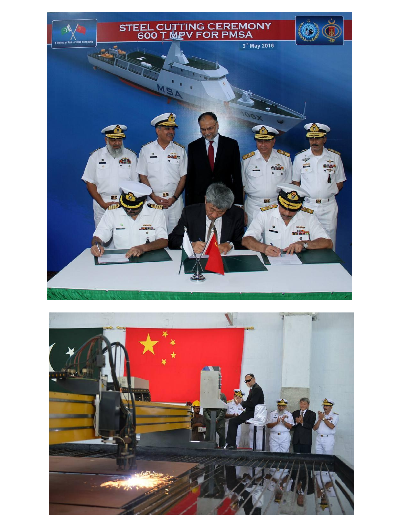